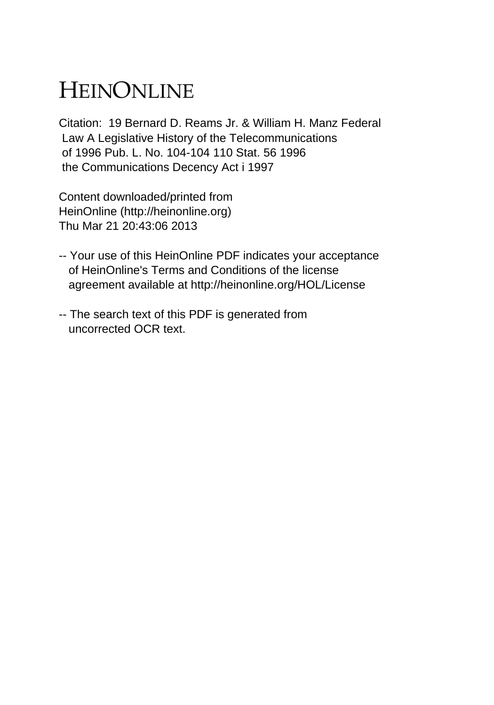## HEINONLINE

Citation: 19 Bernard D. Reams Jr. & William H. Manz Federal Law A Legislative History of the Telecommunications of 1996 Pub. L. No. 104-104 110 Stat. 56 1996 the Communications Decency Act i 1997

Content downloaded/printed from HeinOnline (http://heinonline.org) Thu Mar 21 20:43:06 2013

- -- Your use of this HeinOnline PDF indicates your acceptance of HeinOnline's Terms and Conditions of the license agreement available at http://heinonline.org/HOL/License
- -- The search text of this PDF is generated from uncorrected OCR text.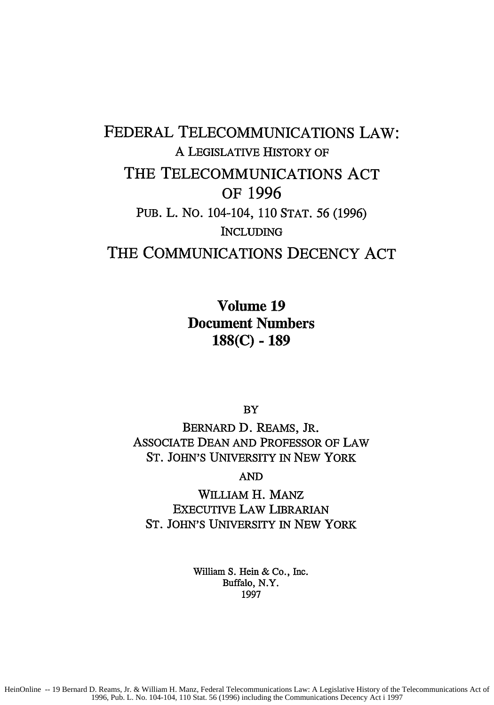## FEDERAL **TELECOMMUNICATIONS** LAW: A LEGISLATIVE HISTORY OF THE TELECOMMUNICATIONS **ACT** OF **1996 PUB.** L. No. 104-104, 110 STAT. 56 (1996) INCLUDING THE COMMUNICATIONS **DECENCY ACT**

Volume **19** Document Numbers **188(C) - 189**

**BY** 

BERNARD D. REAMS, JR. ASSOCIATE DEAN AND PROFESSOR OF LAW ST. JOHN'S UNIVERSITY IN NEW YORK

AND

WILLIAM H. MANz EXECUTIVE LAW LIBRARIAN ST. JOHN'S UNIVERSITY IN NEW YORK

> William S. Hein & Co., Inc. Buffalo, N.Y. 1997